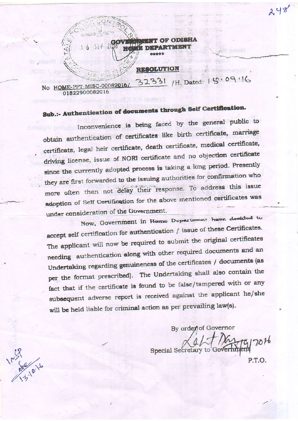

No HOME-PPT-MISC-00082016/ 01822900082016

## Sub.:- Authentication of documents through Self Certification.

Inconvenience is being faced by the general public to obtain authentication of certificates like birth certificate, marriage certificate, legal heir certificate, death certificate, medical certificate, driving license, issue of NORI certificate and no objection certificate since the currently adopted process is taking a long period. Presently they are first forwarded to the issuing authorities for confirmation who more often than not delay their response. To address this issue adoption of Self Certification for the above mentioned certificates was under consideration of the Government.

Now, Government in Herne Department have decided to accept self certification for authentication / issue of these Certificates. The applicant will now be required to submit the original certificates needing authentication along with other required documents and an Undertaking regarding genuineness of the certificates / documents (as per the format prescribed). The Undertaking shall also contain the fact that if the certificate is found to be false/tampered with or any subsequent adverse report is received against the applicant he/she will be held liable for criminal action as per prevailing law(s).

By order of Governor

 $7016$ Special Secretary to Go P.T.O.

248

125% 10.14